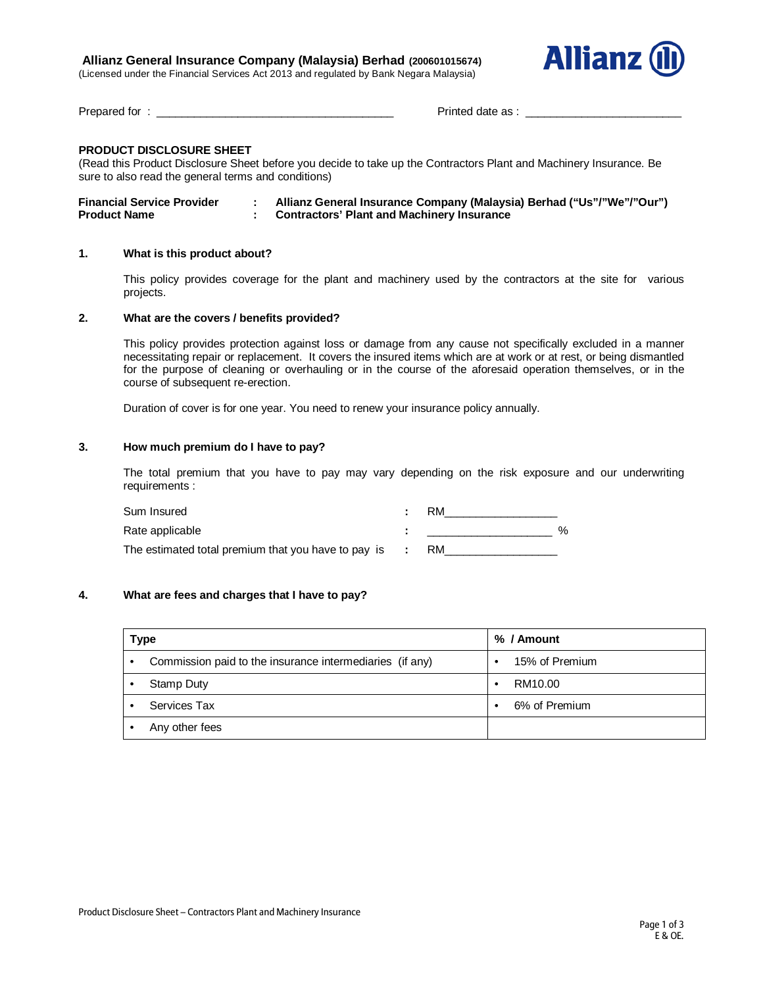# **Allianz General Insurance Company (Malaysia) Berhad (200601015674)**

(Licensed under the Financial Services Act 2013 and regulated by Bank Negara Malaysia)



Prepared for : \_\_\_\_\_\_\_\_\_\_\_\_\_\_\_\_\_\_\_\_\_\_\_\_\_\_\_\_\_\_\_\_\_\_\_\_\_\_ Printed date as : \_\_\_\_\_\_\_\_\_\_\_\_\_\_\_\_\_\_\_\_\_\_\_\_\_

# **PRODUCT DISCLOSURE SHEET**

(Read this Product Disclosure Sheet before you decide to take up the Contractors Plant and Machinery Insurance. Be sure to also read the general terms and conditions)

| <b>Financial Service Provider</b> | Allianz General Insurance Company (Malaysia) Berhad ("Us"/"We"/"Our") |
|-----------------------------------|-----------------------------------------------------------------------|
| <b>Product Name</b>               | <b>Contractors' Plant and Machinery Insurance</b>                     |

# **1. What is this product about?**

This policy provides coverage for the plant and machinery used by the contractors at the site for various projects.

# **2. What are the covers / benefits provided?**

This policy provides protection against loss or damage from any cause not specifically excluded in a manner necessitating repair or replacement. It covers the insured items which are at work or at rest, or being dismantled for the purpose of cleaning or overhauling or in the course of the aforesaid operation themselves, or in the course of subsequent re-erection.

Duration of cover is for one year. You need to renew your insurance policy annually.

#### **3. How much premium do I have to pay?**

The total premium that you have to pay may vary depending on the risk exposure and our underwriting requirements :

| Sum Insured                                                   | RM        |               |
|---------------------------------------------------------------|-----------|---------------|
| Rate applicable                                               |           | $\frac{1}{2}$ |
| The estimated total premium that you have to pay is $\cdot$ : | <b>RM</b> |               |

# **4. What are fees and charges that I have to pay?**

| Type                                                          | % / Amount     |  |  |
|---------------------------------------------------------------|----------------|--|--|
| Commission paid to the insurance intermediaries (if any)<br>٠ | 15% of Premium |  |  |
| Stamp Duty                                                    | RM10.00<br>٠   |  |  |
| Services Tax                                                  | 6% of Premium  |  |  |
| Any other fees                                                |                |  |  |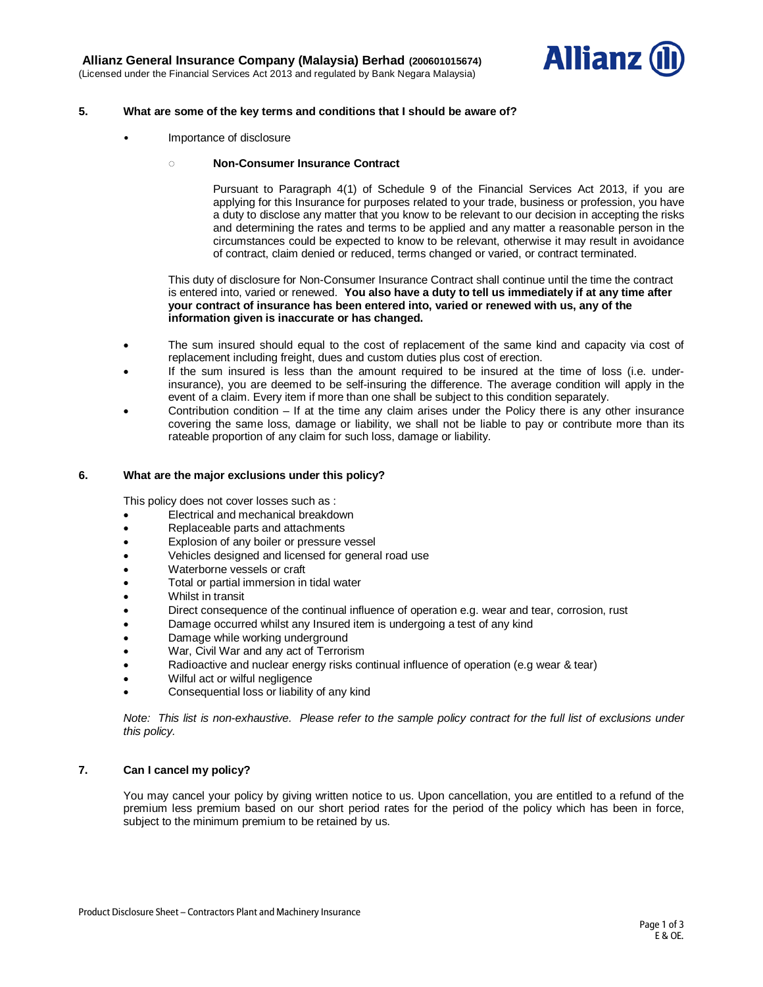

## **5. What are some of the key terms and conditions that I should be aware of?**

• Importance of disclosure

## **◌ Non-Consumer Insurance Contract**

Pursuant to Paragraph 4(1) of Schedule 9 of the Financial Services Act 2013, if you are applying for this Insurance for purposes related to your trade, business or profession, you have a duty to disclose any matter that you know to be relevant to our decision in accepting the risks and determining the rates and terms to be applied and any matter a reasonable person in the circumstances could be expected to know to be relevant, otherwise it may result in avoidance of contract, claim denied or reduced, terms changed or varied, or contract terminated.

This duty of disclosure for Non-Consumer Insurance Contract shall continue until the time the contract is entered into, varied or renewed. **You also have a duty to tell us immediately if at any time after your contract of insurance has been entered into, varied or renewed with us, any of the information given is inaccurate or has changed.**

- The sum insured should equal to the cost of replacement of the same kind and capacity via cost of replacement including freight, dues and custom duties plus cost of erection.
- If the sum insured is less than the amount required to be insured at the time of loss (i.e. underinsurance), you are deemed to be self-insuring the difference. The average condition will apply in the event of a claim. Every item if more than one shall be subject to this condition separately.
- Contribution condition  $-$  If at the time any claim arises under the Policy there is any other insurance covering the same loss, damage or liability, we shall not be liable to pay or contribute more than its rateable proportion of any claim for such loss, damage or liability.

#### **6. What are the major exclusions under this policy?**

This policy does not cover losses such as :

- Electrical and mechanical breakdown
- Replaceable parts and attachments
- Explosion of any boiler or pressure vessel
- Vehicles designed and licensed for general road use
- Waterborne vessels or craft
- Total or partial immersion in tidal water
- Whilst in transit
- Direct consequence of the continual influence of operation e.g. wear and tear, corrosion, rust
- Damage occurred whilst any Insured item is undergoing a test of any kind
- Damage while working underground
- War, Civil War and any act of Terrorism
- Radioactive and nuclear energy risks continual influence of operation (e.g wear & tear)
- Wilful act or wilful negligence
- Consequential loss or liability of any kind

*Note: This list is non-exhaustive. Please refer to the sample policy contract for the full list of exclusions under this policy.*

#### **7. Can I cancel my policy?**

You may cancel your policy by giving written notice to us. Upon cancellation, you are entitled to a refund of the premium less premium based on our short period rates for the period of the policy which has been in force, subject to the minimum premium to be retained by us.